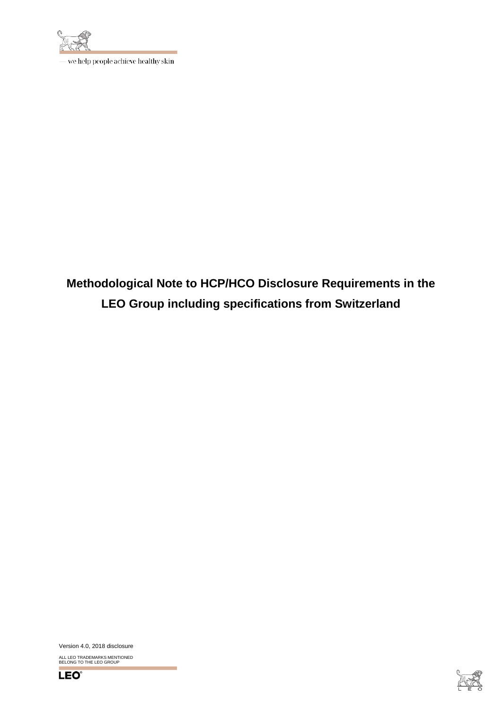

– we help people achieve healthy skin

**Methodological Note to HCP/HCO Disclosure Requirements in the LEO Group including specifications from Switzerland**

Version 4.0, 2018 disclosure

ALL LEO TRADEMARKS MENTIONED BELONG TO THE LEO GROUP



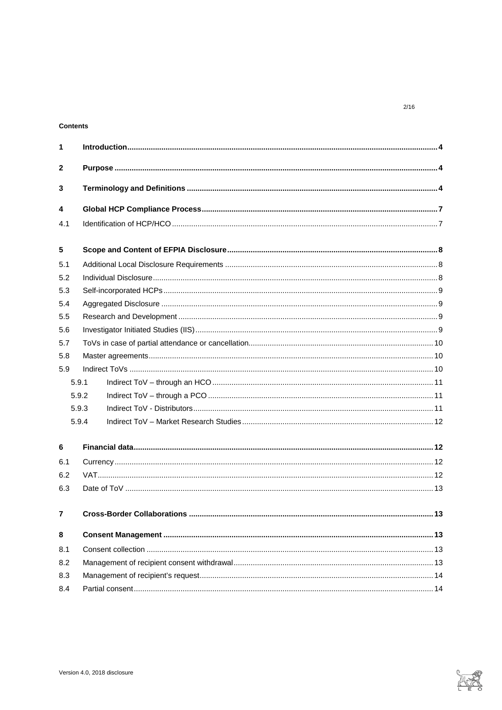# Contents

| $\mathbf{1}$ |                |  |    |
|--------------|----------------|--|----|
| 2            |                |  |    |
| 3            |                |  |    |
| 4            |                |  |    |
| 4.1          |                |  |    |
| 5            |                |  |    |
| 5.1          |                |  |    |
| 5.2          |                |  |    |
| 5.3          |                |  |    |
| 5.4          |                |  |    |
| 5.5          |                |  |    |
| 5.6          |                |  |    |
| 5.7          |                |  |    |
| 5.8          |                |  |    |
| 5.9          |                |  |    |
|              | 5.9.1          |  |    |
|              | 5.9.2          |  |    |
|              | 5.9.3<br>5.9.4 |  |    |
| 6            |                |  |    |
| 6.1          |                |  |    |
| 6.2          |                |  |    |
| 6.3          |                |  |    |
|              |                |  | 13 |
| 8            |                |  |    |
| 8.1          |                |  |    |
| 8.2          |                |  |    |
| 8.3          |                |  |    |
| 8.4          |                |  |    |



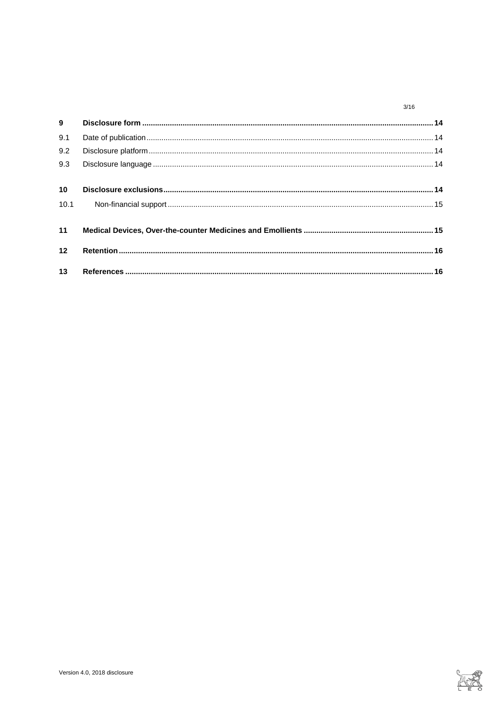#### $3/16$

| $9^{\circ}$     |  |
|-----------------|--|
| 9.1             |  |
| 9.2             |  |
| 9.3             |  |
| 10 <sup>°</sup> |  |
| 10.1            |  |
| 11              |  |
| 12              |  |
| 13              |  |

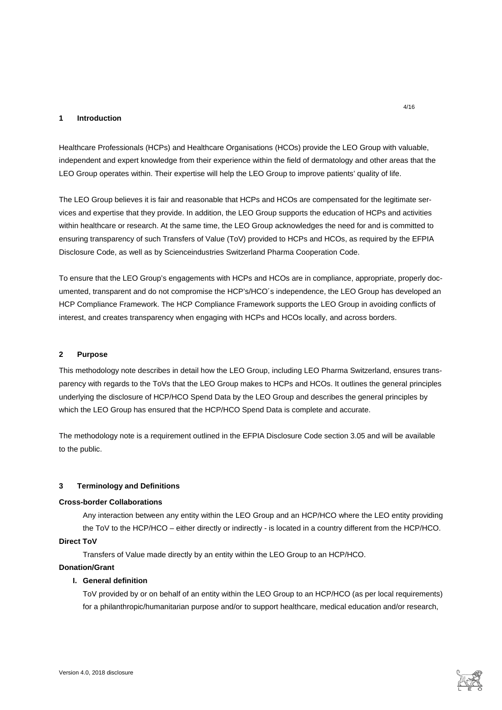### <span id="page-3-0"></span>**1 Introduction**

Healthcare Professionals (HCPs) and Healthcare Organisations (HCOs) provide the LEO Group with valuable, independent and expert knowledge from their experience within the field of dermatology and other areas that the LEO Group operates within. Their expertise will help the LEO Group to improve patients' quality of life.

The LEO Group believes it is fair and reasonable that HCPs and HCOs are compensated for the legitimate services and expertise that they provide. In addition, the LEO Group supports the education of HCPs and activities within healthcare or research. At the same time, the LEO Group acknowledges the need for and is committed to ensuring transparency of such Transfers of Value (ToV) provided to HCPs and HCOs, as required by the EFPIA Disclosure Code, as well as by Scienceindustries Switzerland Pharma Cooperation Code.

To ensure that the LEO Group's engagements with HCPs and HCOs are in compliance, appropriate, properly documented, transparent and do not compromise the HCP's/HCO´s independence, the LEO Group has developed an HCP Compliance Framework. The HCP Compliance Framework supports the LEO Group in avoiding conflicts of interest, and creates transparency when engaging with HCPs and HCOs locally, and across borders.

### <span id="page-3-1"></span>**2 Purpose**

This methodology note describes in detail how the LEO Group, including LEO Pharma Switzerland, ensures transparency with regards to the ToVs that the LEO Group makes to HCPs and HCOs. It outlines the general principles underlying the disclosure of HCP/HCO Spend Data by the LEO Group and describes the general principles by which the LEO Group has ensured that the HCP/HCO Spend Data is complete and accurate.

The methodology note is a requirement outlined in the EFPIA Disclosure Code section 3.05 and will be available to the public.

## <span id="page-3-2"></span>**3 Terminology and Definitions**

### **Cross-border Collaborations**

Any interaction between any entity within the LEO Group and an HCP/HCO where the LEO entity providing the ToV to the HCP/HCO – either directly or indirectly - is located in a country different from the HCP/HCO.

# **Direct ToV**

Transfers of Value made directly by an entity within the LEO Group to an HCP/HCO.

# **Donation/Grant**

# **I. General definition**

ToV provided by or on behalf of an entity within the LEO Group to an HCP/HCO (as per local requirements) for a philanthropic/humanitarian purpose and/or to support healthcare, medical education and/or research,

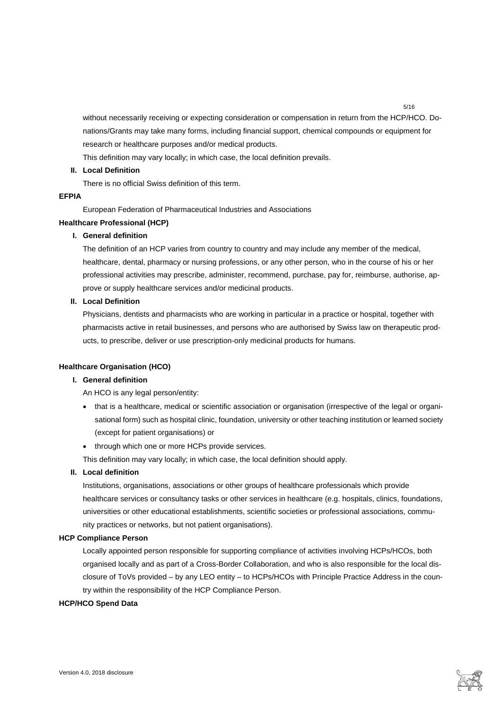without necessarily receiving or expecting consideration or compensation in return from the HCP/HCO. Donations/Grants may take many forms, including financial support, chemical compounds or equipment for research or healthcare purposes and/or medical products.

This definition may vary locally; in which case, the local definition prevails.

# **II. Local Definition**

There is no official Swiss definition of this term.

## **EFPIA**

European Federation of Pharmaceutical Industries and Associations

## **Healthcare Professional (HCP)**

# **I. General definition**

The definition of an HCP varies from country to country and may include any member of the medical, healthcare, dental, pharmacy or nursing professions, or any other person, who in the course of his or her professional activities may prescribe, administer, recommend, purchase, pay for, reimburse, authorise, approve or supply healthcare services and/or medicinal products.

# **II. Local Definition**

Physicians, dentists and pharmacists who are working in particular in a practice or hospital, together with pharmacists active in retail businesses, and persons who are authorised by Swiss law on therapeutic products, to prescribe, deliver or use prescription-only medicinal products for humans.

#### **Healthcare Organisation (HCO)**

# **I. General definition**

An HCO is any legal person/entity:

- that is a healthcare, medical or scientific association or organisation (irrespective of the legal or organisational form) such as hospital clinic, foundation, university or other teaching institution or learned society (except for patient organisations) or
- through which one or more HCPs provide services.

This definition may vary locally; in which case, the local definition should apply.

# **II. Local definition**

Institutions, organisations, associations or other groups of healthcare professionals which provide healthcare services or consultancy tasks or other services in healthcare (e.g. hospitals, clinics, foundations, universities or other educational establishments, scientific societies or professional associations, community practices or networks, but not patient organisations).

#### **HCP Compliance Person**

Locally appointed person responsible for supporting compliance of activities involving HCPs/HCOs, both organised locally and as part of a Cross-Border Collaboration, and who is also responsible for the local disclosure of ToVs provided – by any LEO entity – to HCPs/HCOs with Principle Practice Address in the country within the responsibility of the HCP Compliance Person.

#### **HCP/HCO Spend Data**

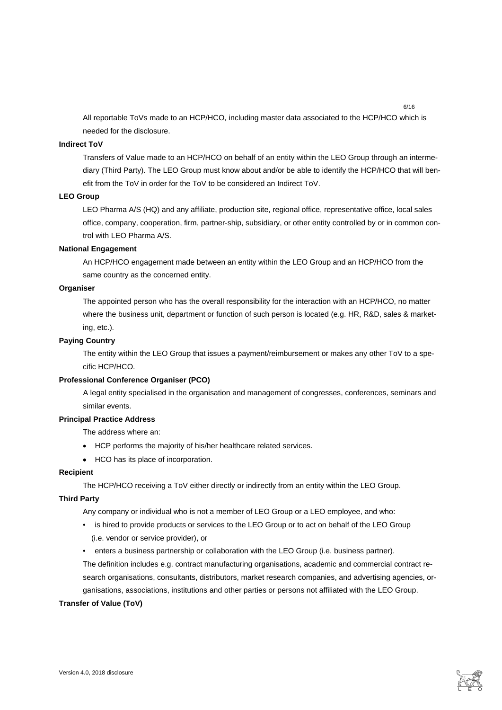All reportable ToVs made to an HCP/HCO, including master data associated to the HCP/HCO which is needed for the disclosure.

6/16

## **Indirect ToV**

Transfers of Value made to an HCP/HCO on behalf of an entity within the LEO Group through an intermediary (Third Party). The LEO Group must know about and/or be able to identify the HCP/HCO that will benefit from the ToV in order for the ToV to be considered an Indirect ToV.

#### **LEO Group**

LEO Pharma A/S (HQ) and any affiliate, production site, regional office, representative office, local sales office, company, cooperation, firm, partner-ship, subsidiary, or other entity controlled by or in common control with LEO Pharma A/S.

#### **National Engagement**

An HCP/HCO engagement made between an entity within the LEO Group and an HCP/HCO from the same country as the concerned entity.

### **Organiser**

The appointed person who has the overall responsibility for the interaction with an HCP/HCO, no matter where the business unit, department or function of such person is located (e.g. HR, R&D, sales & marketing, etc.).

### **Paying Country**

The entity within the LEO Group that issues a payment/reimbursement or makes any other ToV to a specific HCP/HCO.

### **Professional Conference Organiser (PCO)**

A legal entity specialised in the organisation and management of congresses, conferences, seminars and similar events.

### **Principal Practice Address**

The address where an:

- HCP performs the majority of his/her healthcare related services.
- HCO has its place of incorporation.

# **Recipient**

The HCP/HCO receiving a ToV either directly or indirectly from an entity within the LEO Group.

# **Third Party**

Any company or individual who is not a member of LEO Group or a LEO employee, and who:

- is hired to provide products or services to the LEO Group or to act on behalf of the LEO Group (i.e. vendor or service provider), or
- enters a business partnership or collaboration with the LEO Group (i.e. business partner). The definition includes e.g. contract manufacturing organisations, academic and commercial contract research organisations, consultants, distributors, market research companies, and advertising agencies, organisations, associations, institutions and other parties or persons not affiliated with the LEO Group.

#### **Transfer of Value (ToV)**

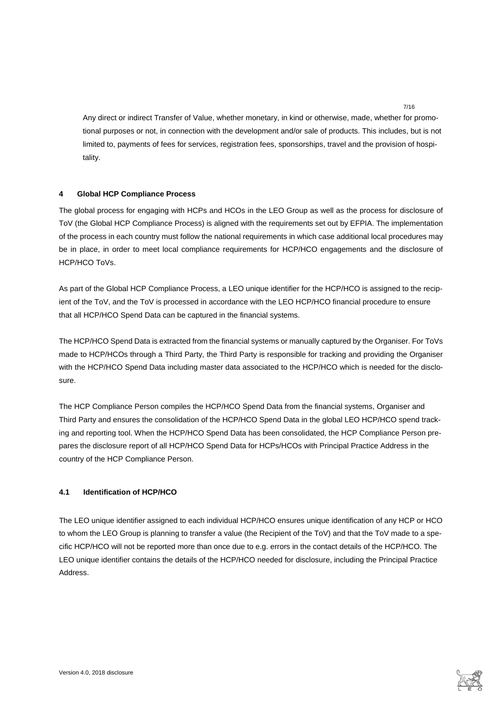Any direct or indirect Transfer of Value, whether monetary, in kind or otherwise, made, whether for promotional purposes or not, in connection with the development and/or sale of products. This includes, but is not limited to, payments of fees for services, registration fees, sponsorships, travel and the provision of hospitality.

# <span id="page-6-0"></span>**4 Global HCP Compliance Process**

The global process for engaging with HCPs and HCOs in the LEO Group as well as the process for disclosure of ToV (the Global HCP Compliance Process) is aligned with the requirements set out by EFPIA. The implementation of the process in each country must follow the national requirements in which case additional local procedures may be in place, in order to meet local compliance requirements for HCP/HCO engagements and the disclosure of HCP/HCO ToVs.

As part of the Global HCP Compliance Process, a LEO unique identifier for the HCP/HCO is assigned to the recipient of the ToV, and the ToV is processed in accordance with the LEO HCP/HCO financial procedure to ensure that all HCP/HCO Spend Data can be captured in the financial systems.

The HCP/HCO Spend Data is extracted from the financial systems or manually captured by the Organiser. For ToVs made to HCP/HCOs through a Third Party, the Third Party is responsible for tracking and providing the Organiser with the HCP/HCO Spend Data including master data associated to the HCP/HCO which is needed for the disclosure.

The HCP Compliance Person compiles the HCP/HCO Spend Data from the financial systems, Organiser and Third Party and ensures the consolidation of the HCP/HCO Spend Data in the global LEO HCP/HCO spend tracking and reporting tool. When the HCP/HCO Spend Data has been consolidated, the HCP Compliance Person prepares the disclosure report of all HCP/HCO Spend Data for HCPs/HCOs with Principal Practice Address in the country of the HCP Compliance Person.

# <span id="page-6-1"></span>**4.1 Identification of HCP/HCO**

The LEO unique identifier assigned to each individual HCP/HCO ensures unique identification of any HCP or HCO to whom the LEO Group is planning to transfer a value (the Recipient of the ToV) and that the ToV made to a specific HCP/HCO will not be reported more than once due to e.g. errors in the contact details of the HCP/HCO. The LEO unique identifier contains the details of the HCP/HCO needed for disclosure, including the Principal Practice Address.

7/16

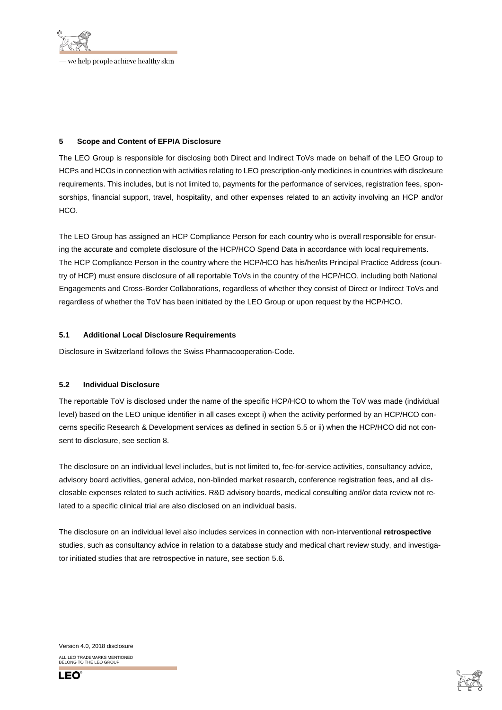

<span id="page-7-0"></span>**5 Scope and Content of EFPIA Disclosure**

The LEO Group is responsible for disclosing both Direct and Indirect ToVs made on behalf of the LEO Group to HCPs and HCOs in connection with activities relating to LEO prescription-only medicines in countries with disclosure requirements. This includes, but is not limited to, payments for the performance of services, registration fees, sponsorships, financial support, travel, hospitality, and other expenses related to an activity involving an HCP and/or HCO.

The LEO Group has assigned an HCP Compliance Person for each country who is overall responsible for ensuring the accurate and complete disclosure of the HCP/HCO Spend Data in accordance with local requirements. The HCP Compliance Person in the country where the HCP/HCO has his/her/its Principal Practice Address (country of HCP) must ensure disclosure of all reportable ToVs in the country of the HCP/HCO, including both National Engagements and Cross-Border Collaborations, regardless of whether they consist of Direct or Indirect ToVs and regardless of whether the ToV has been initiated by the LEO Group or upon request by the HCP/HCO.

# <span id="page-7-1"></span>**5.1 Additional Local Disclosure Requirements**

<span id="page-7-2"></span>Disclosure in Switzerland follows the Swiss Pharmacooperation-Code.

#### **5.2 Individual Disclosure**

The reportable ToV is disclosed under the name of the specific HCP/HCO to whom the ToV was made (individual level) based on the LEO unique identifier in all cases except i) when the activity performed by an HCP/HCO concerns specific Research & Development services as defined in section [5.5](#page-8-2) or ii) when the HCP/HCO did not consent to disclosure, see section [8.](#page-12-2)

The disclosure on an individual level includes, but is not limited to, fee-for-service activities, consultancy advice, advisory board activities, general advice, non-blinded market research, conference registration fees, and all disclosable expenses related to such activities. R&D advisory boards, medical consulting and/or data review not related to a specific clinical trial are also disclosed on an individual basis.

The disclosure on an individual level also includes services in connection with non-interventional **retrospective** studies, such as consultancy advice in relation to a database study and medical chart review study, and investigator initiated studies that are retrospective in nature, see sectio[n 5.6.](#page-8-3)

Version 4.0, 2018 disclosure ALL LEO TRADEMARKS MENTIONED BELONG TO THE LEO GROUP



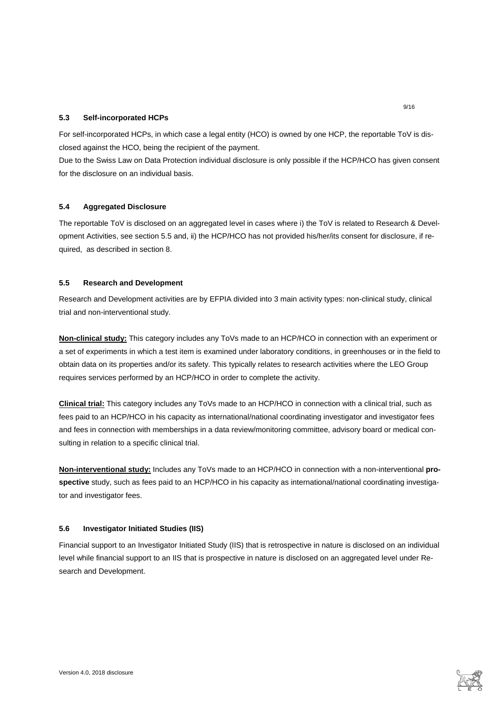# <span id="page-8-0"></span>**5.3 Self-incorporated HCPs**

For self-incorporated HCPs, in which case a legal entity (HCO) is owned by one HCP, the reportable ToV is disclosed against the HCO, being the recipient of the payment.

Due to the Swiss Law on Data Protection individual disclosure is only possible if the HCP/HCO has given consent for the disclosure on an individual basis.

# <span id="page-8-1"></span>**5.4 Aggregated Disclosure**

The reportable ToV is disclosed on an aggregated level in cases where i) the ToV is related to Research & Development Activities, see section [5.5](#page-8-2) and, ii) the HCP/HCO has not provided his/her/its consent for disclosure, if required, as described in sectio[n 8.](#page-12-2)

## <span id="page-8-2"></span>**5.5 Research and Development**

Research and Development activities are by EFPIA divided into 3 main activity types: non-clinical study, clinical trial and non-interventional study.

**Non-clinical study:** This category includes any ToVs made to an HCP/HCO in connection with an experiment or a set of experiments in which a test item is examined under laboratory conditions, in greenhouses or in the field to obtain data on its properties and/or its safety. This typically relates to research activities where the LEO Group requires services performed by an HCP/HCO in order to complete the activity.

**Clinical trial:** This category includes any ToVs made to an HCP/HCO in connection with a clinical trial, such as fees paid to an HCP/HCO in his capacity as international/national coordinating investigator and investigator fees and fees in connection with memberships in a data review/monitoring committee, advisory board or medical consulting in relation to a specific clinical trial.

**Non-interventional study:** Includes any ToVs made to an HCP/HCO in connection with a non-interventional **prospective** study, such as fees paid to an HCP/HCO in his capacity as international/national coordinating investigator and investigator fees.

#### <span id="page-8-3"></span>**5.6 Investigator Initiated Studies (IIS)**

Financial support to an Investigator Initiated Study (IIS) that is retrospective in nature is disclosed on an individual level while financial support to an IIS that is prospective in nature is disclosed on an aggregated level under Research and Development.

9/16

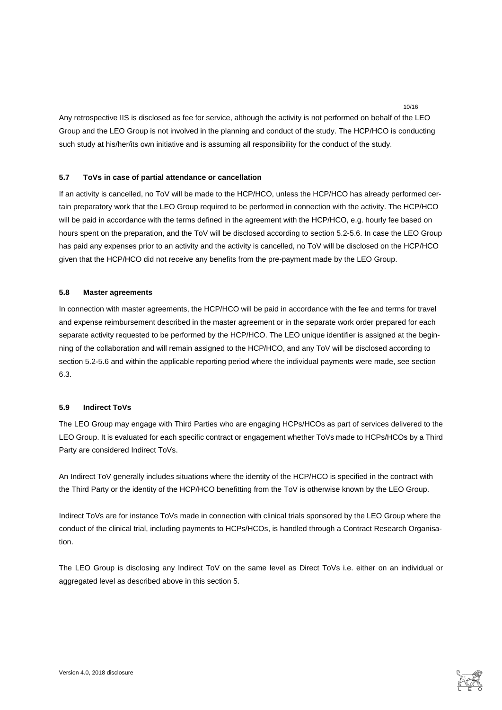Any retrospective IIS is disclosed as fee for service, although the activity is not performed on behalf of the LEO Group and the LEO Group is not involved in the planning and conduct of the study. The HCP/HCO is conducting such study at his/her/its own initiative and is assuming all responsibility for the conduct of the study.

10/16

## <span id="page-9-0"></span>**5.7 ToVs in case of partial attendance or cancellation**

If an activity is cancelled, no ToV will be made to the HCP/HCO, unless the HCP/HCO has already performed certain preparatory work that the LEO Group required to be performed in connection with the activity. The HCP/HCO will be paid in accordance with the terms defined in the agreement with the HCP/HCO, e.g. hourly fee based on hours spent on the preparation, and the ToV will be disclosed according to section [5.2-](#page-7-2)5.6. In case the LEO Group has paid any expenses prior to an activity and the activity is cancelled, no ToV will be disclosed on the HCP/HCO given that the HCP/HCO did not receive any benefits from the pre-payment made by the LEO Group.

## <span id="page-9-1"></span>**5.8 Master agreements**

In connection with master agreements, the HCP/HCO will be paid in accordance with the fee and terms for travel and expense reimbursement described in the master agreement or in the separate work order prepared for each separate activity requested to be performed by the HCP/HCO. The LEO unique identifier is assigned at the beginning of the collaboration and will remain assigned to the HCP/HCO, and any ToV will be disclosed according to section [5.2](#page-7-2)[-5.6](#page-8-3) and within the applicable reporting period where the individual payments were made, see section 6.3.

# <span id="page-9-2"></span>**5.9 Indirect ToVs**

The LEO Group may engage with Third Parties who are engaging HCPs/HCOs as part of services delivered to the LEO Group. It is evaluated for each specific contract or engagement whether ToVs made to HCPs/HCOs by a Third Party are considered Indirect ToVs.

An Indirect ToV generally includes situations where the identity of the HCP/HCO is specified in the contract with the Third Party or the identity of the HCP/HCO benefitting from the ToV is otherwise known by the LEO Group.

Indirect ToVs are for instance ToVs made in connection with clinical trials sponsored by the LEO Group where the conduct of the clinical trial, including payments to HCPs/HCOs, is handled through a Contract Research Organisation.

The LEO Group is disclosing any Indirect ToV on the same level as Direct ToVs i.e. either on an individual or aggregated level as described above in this sectio[n 5.](#page-7-0)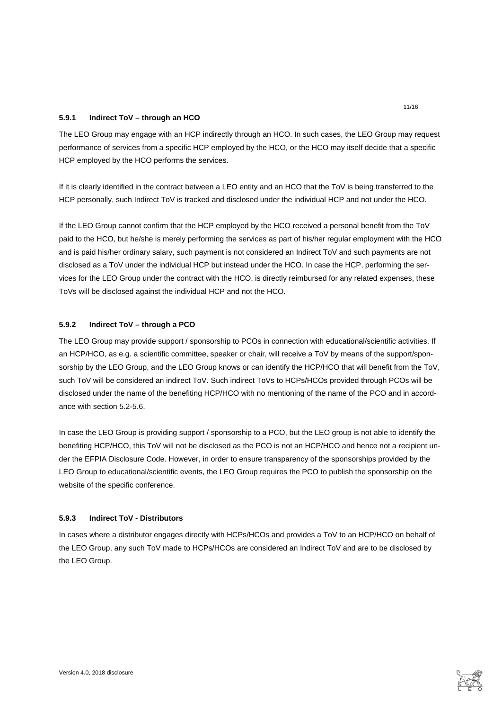# <span id="page-10-0"></span>**5.9.1 Indirect ToV – through an HCO**

The LEO Group may engage with an HCP indirectly through an HCO. In such cases, the LEO Group may request performance of services from a specific HCP employed by the HCO, or the HCO may itself decide that a specific HCP employed by the HCO performs the services.

If it is clearly identified in the contract between a LEO entity and an HCO that the ToV is being transferred to the HCP personally, such Indirect ToV is tracked and disclosed under the individual HCP and not under the HCO.

If the LEO Group cannot confirm that the HCP employed by the HCO received a personal benefit from the ToV paid to the HCO, but he/she is merely performing the services as part of his/her regular employment with the HCO and is paid his/her ordinary salary, such payment is not considered an Indirect ToV and such payments are not disclosed as a ToV under the individual HCP but instead under the HCO. In case the HCP, performing the services for the LEO Group under the contract with the HCO, is directly reimbursed for any related expenses, these ToVs will be disclosed against the individual HCP and not the HCO.

## <span id="page-10-1"></span>**5.9.2 Indirect ToV – through a PCO**

The LEO Group may provide support / sponsorship to PCOs in connection with educational/scientific activities. If an HCP/HCO, as e.g. a scientific committee, speaker or chair, will receive a ToV by means of the support/sponsorship by the LEO Group, and the LEO Group knows or can identify the HCP/HCO that will benefit from the ToV, such ToV will be considered an indirect ToV. Such indirect ToVs to HCPs/HCOs provided through PCOs will be disclosed under the name of the benefiting HCP/HCO with no mentioning of the name of the PCO and in accordance with sectio[n 5.2](#page-7-2)[-5.6.](#page-8-3)

In case the LEO Group is providing support / sponsorship to a PCO, but the LEO group is not able to identify the benefiting HCP/HCO, this ToV will not be disclosed as the PCO is not an HCP/HCO and hence not a recipient under the EFPIA Disclosure Code. However, in order to ensure transparency of the sponsorships provided by the LEO Group to educational/scientific events, the LEO Group requires the PCO to publish the sponsorship on the website of the specific conference.

#### <span id="page-10-2"></span>**5.9.3 Indirect ToV - Distributors**

In cases where a distributor engages directly with HCPs/HCOs and provides a ToV to an HCP/HCO on behalf of the LEO Group, any such ToV made to HCPs/HCOs are considered an Indirect ToV and are to be disclosed by the LEO Group.

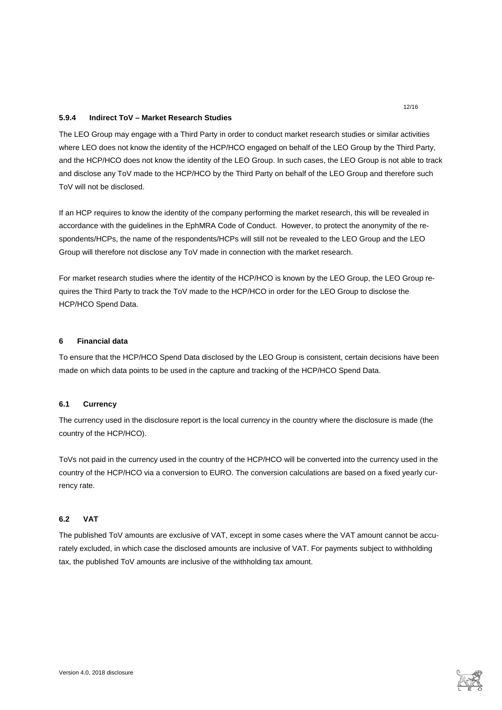### <span id="page-11-0"></span>**5.9.4 Indirect ToV – Market Research Studies**

The LEO Group may engage with a Third Party in order to conduct market research studies or similar activities where LEO does not know the identity of the HCP/HCO engaged on behalf of the LEO Group by the Third Party, and the HCP/HCO does not know the identity of the LEO Group. In such cases, the LEO Group is not able to track and disclose any ToV made to the HCP/HCO by the Third Party on behalf of the LEO Group and therefore such ToV will not be disclosed.

If an HCP requires to know the identity of the company performing the market research, this will be revealed in accordance with the guidelines in the EphMRA Code of Conduct. However, to protect the anonymity of the respondents/HCPs, the name of the respondents/HCPs will still not be revealed to the LEO Group and the LEO Group will therefore not disclose any ToV made in connection with the market research.

For market research studies where the identity of the HCP/HCO is known by the LEO Group, the LEO Group requires the Third Party to track the ToV made to the HCP/HCO in order for the LEO Group to disclose the HCP/HCO Spend Data.

# <span id="page-11-1"></span>**6 Financial data**

To ensure that the HCP/HCO Spend Data disclosed by the LEO Group is consistent, certain decisions have been made on which data points to be used in the capture and tracking of the HCP/HCO Spend Data.

#### <span id="page-11-2"></span>**6.1 Currency**

The currency used in the disclosure report is the local currency in the country where the disclosure is made (the country of the HCP/HCO).

ToVs not paid in the currency used in the country of the HCP/HCO will be converted into the currency used in the country of the HCP/HCO via a conversion to EURO. The conversion calculations are based on a fixed yearly currency rate.

#### <span id="page-11-3"></span>**6.2 VAT**

The published ToV amounts are exclusive of VAT, except in some cases where the VAT amount cannot be accurately excluded, in which case the disclosed amounts are inclusive of VAT. For payments subject to withholding tax, the published ToV amounts are inclusive of the withholding tax amount.

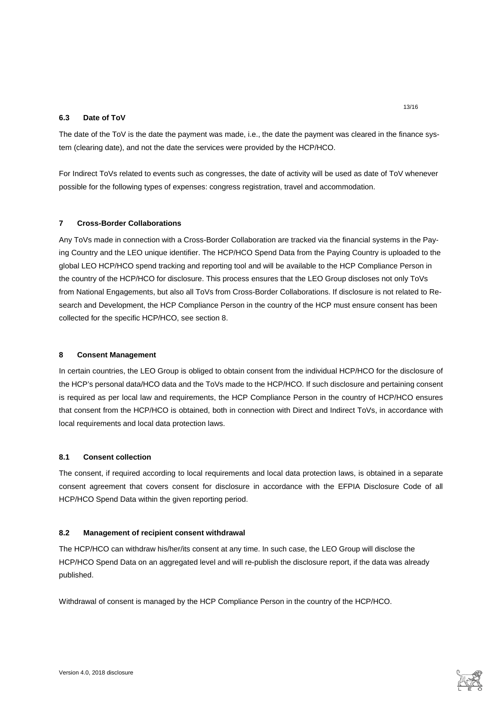## <span id="page-12-0"></span>**6.3 Date of ToV**

The date of the ToV is the date the payment was made, i.e., the date the payment was cleared in the finance system (clearing date), and not the date the services were provided by the HCP/HCO.

For Indirect ToVs related to events such as congresses, the date of activity will be used as date of ToV whenever possible for the following types of expenses: congress registration, travel and accommodation.

#### <span id="page-12-1"></span>**7 Cross-Border Collaborations**

Any ToVs made in connection with a Cross-Border Collaboration are tracked via the financial systems in the Paying Country and the LEO unique identifier. The HCP/HCO Spend Data from the Paying Country is uploaded to the global LEO HCP/HCO spend tracking and reporting tool and will be available to the HCP Compliance Person in the country of the HCP/HCO for disclosure. This process ensures that the LEO Group discloses not only ToVs from National Engagements, but also all ToVs from Cross-Border Collaborations. If disclosure is not related to Research and Development, the HCP Compliance Person in the country of the HCP must ensure consent has been collected for the specific HCP/HCO, see section [8.](#page-12-2)

#### <span id="page-12-2"></span>**8 Consent Management**

In certain countries, the LEO Group is obliged to obtain consent from the individual HCP/HCO for the disclosure of the HCP's personal data/HCO data and the ToVs made to the HCP/HCO. If such disclosure and pertaining consent is required as per local law and requirements, the HCP Compliance Person in the country of HCP/HCO ensures that consent from the HCP/HCO is obtained, both in connection with Direct and Indirect ToVs, in accordance with local requirements and local data protection laws.

## <span id="page-12-3"></span>**8.1 Consent collection**

The consent, if required according to local requirements and local data protection laws, is obtained in a separate consent agreement that covers consent for disclosure in accordance with the EFPIA Disclosure Code of all HCP/HCO Spend Data within the given reporting period.

#### <span id="page-12-4"></span>**8.2 Management of recipient consent withdrawal**

The HCP/HCO can withdraw his/her/its consent at any time. In such case, the LEO Group will disclose the HCP/HCO Spend Data on an aggregated level and will re-publish the disclosure report, if the data was already published.

Withdrawal of consent is managed by the HCP Compliance Person in the country of the HCP/HCO.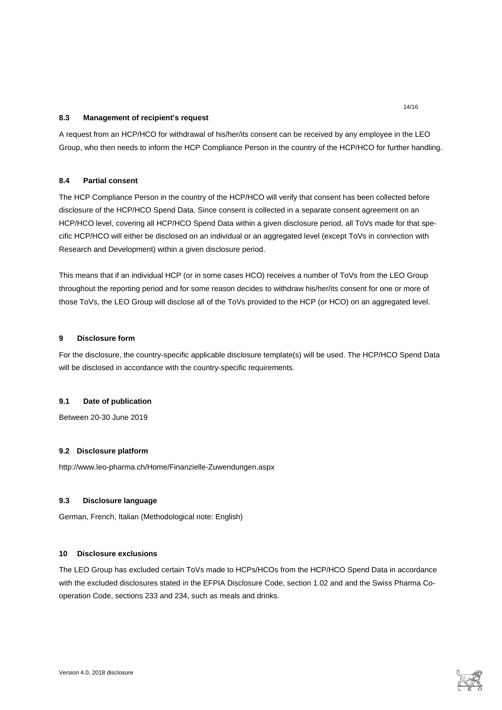## <span id="page-13-0"></span>**8.3 Management of recipient's request**

A request from an HCP/HCO for withdrawal of his/her/its consent can be received by any employee in the LEO Group, who then needs to inform the HCP Compliance Person in the country of the HCP/HCO for further handling.

# <span id="page-13-1"></span>**8.4 Partial consent**

The HCP Compliance Person in the country of the HCP/HCO will verify that consent has been collected before disclosure of the HCP/HCO Spend Data. Since consent is collected in a separate consent agreement on an HCP/HCO level, covering all HCP/HCO Spend Data within a given disclosure period, all ToVs made for that specific HCP/HCO will either be disclosed on an individual or an aggregated level (except ToVs in connection with Research and Development) within a given disclosure period.

This means that if an individual HCP (or in some cases HCO) receives a number of ToVs from the LEO Group throughout the reporting period and for some reason decides to withdraw his/her/its consent for one or more of those ToVs, the LEO Group will disclose all of the ToVs provided to the HCP (or HCO) on an aggregated level.

# <span id="page-13-2"></span>**9 Disclosure form**

For the disclosure, the country-specific applicable disclosure template(s) will be used. The HCP/HCO Spend Data will be disclosed in accordance with the country-specific requirements.

### <span id="page-13-3"></span>**9.1 Date of publication**

<span id="page-13-4"></span>Between 20-30 June 2019

## **9.2 Disclosure platform**

<span id="page-13-5"></span>http://www.leo-pharma.ch/Home/Finanzielle-Zuwendungen.aspx

### **9.3 Disclosure language**

<span id="page-13-6"></span>German, French, Italian (Methodological note: English)

### **10 Disclosure exclusions**

The LEO Group has excluded certain ToVs made to HCPs/HCOs from the HCP/HCO Spend Data in accordance with the excluded disclosures stated in the EFPIA Disclosure Code, section 1.02 and and the Swiss Pharma Cooperation Code, sections 233 and 234, such as meals and drinks.

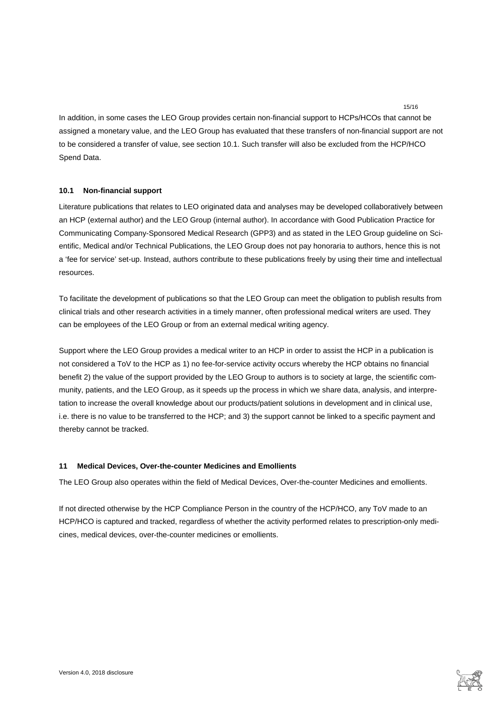In addition, in some cases the LEO Group provides certain non-financial support to HCPs/HCOs that cannot be assigned a monetary value, and the LEO Group has evaluated that these transfers of non-financial support are not to be considered a transfer of value, see section [10.1.](#page-14-0) Such transfer will also be excluded from the HCP/HCO Spend Data.

15/16

# <span id="page-14-0"></span>**10.1 Non-financial support**

Literature publications that relates to LEO originated data and analyses may be developed collaboratively between an HCP (external author) and the LEO Group (internal author). In accordance with Good Publication Practice for Communicating Company-Sponsored Medical Research (GPP3) and as stated in the LEO Group guideline on Scientific, Medical and/or Technical Publications, the LEO Group does not pay honoraria to authors, hence this is not a 'fee for service' set-up. Instead, authors contribute to these publications freely by using their time and intellectual resources.

To facilitate the development of publications so that the LEO Group can meet the obligation to publish results from clinical trials and other research activities in a timely manner, often professional medical writers are used. They can be employees of the LEO Group or from an external medical writing agency.

Support where the LEO Group provides a medical writer to an HCP in order to assist the HCP in a publication is not considered a ToV to the HCP as 1) no fee-for-service activity occurs whereby the HCP obtains no financial benefit 2) the value of the support provided by the LEO Group to authors is to society at large, the scientific community, patients, and the LEO Group, as it speeds up the process in which we share data, analysis, and interpretation to increase the overall knowledge about our products/patient solutions in development and in clinical use, i.e. there is no value to be transferred to the HCP; and 3) the support cannot be linked to a specific payment and thereby cannot be tracked.

### <span id="page-14-1"></span>**11 Medical Devices, Over-the-counter Medicines and Emollients**

The LEO Group also operates within the field of Medical Devices, Over-the-counter Medicines and emollients.

If not directed otherwise by the HCP Compliance Person in the country of the HCP/HCO, any ToV made to an HCP/HCO is captured and tracked, regardless of whether the activity performed relates to prescription-only medicines, medical devices, over-the-counter medicines or emollients.